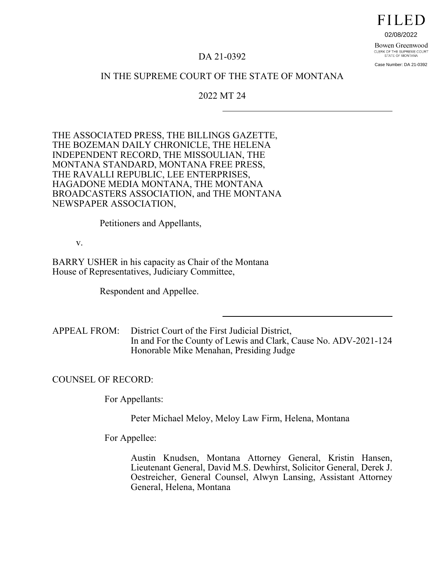**FILED** 

02/08/2022

#### Bowen Greenwood CLERK OF THE SUPREME COURT<br>STATE OF MONTANA

Case Number: DA 21-0392

# DA 21-0392

# IN THE SUPREME COURT OF THE STATE OF MONTANA

## 2022 MT 24

THE ASSOCIATED PRESS, THE BILLINGS GAZETTE, THE BOZEMAN DAILY CHRONICLE, THE HELENA INDEPENDENT RECORD, THE MISSOULIAN, THE MONTANA STANDARD, MONTANA FREE PRESS, THE RAVALLI REPUBLIC, LEE ENTERPRISES, HAGADONE MEDIA MONTANA, THE MONTANA BROADCASTERS ASSOCIATION, and THE MONTANA NEWSPAPER ASSOCIATION,

Petitioners and Appellants,

v.

BARRY USHER in his capacity as Chair of the Montana House of Representatives, Judiciary Committee,

Respondent and Appellee.

APPEAL FROM: District Court of the First Judicial District, In and For the County of Lewis and Clark, Cause No. ADV-2021-124 Honorable Mike Menahan, Presiding Judge

COUNSEL OF RECORD:

For Appellants:

Peter Michael Meloy, Meloy Law Firm, Helena, Montana

For Appellee:

Austin Knudsen, Montana Attorney General, Kristin Hansen, Lieutenant General, David M.S. Dewhirst, Solicitor General, Derek J. Oestreicher, General Counsel, Alwyn Lansing, Assistant Attorney General, Helena, Montana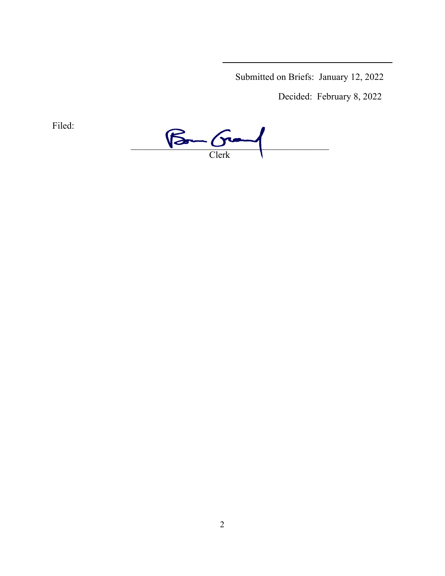Submitted on Briefs: January 12, 2022

Decided: February 8, 2022

Filed:

 $\beta$  -  $\beta$  -  $\alpha$ Clerk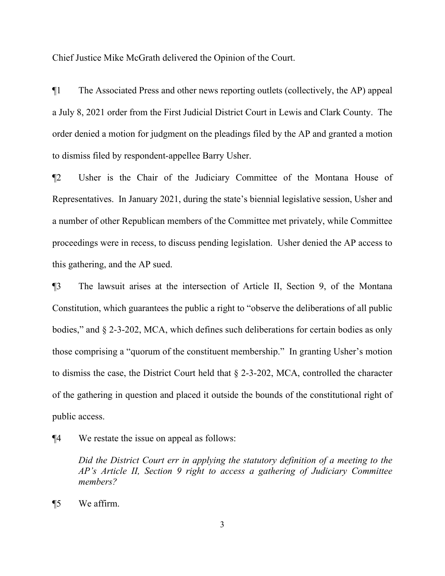Chief Justice Mike McGrath delivered the Opinion of the Court.

¶1 The Associated Press and other news reporting outlets (collectively, the AP) appeal a July 8, 2021 order from the First Judicial District Court in Lewis and Clark County. The order denied a motion for judgment on the pleadings filed by the AP and granted a motion to dismiss filed by respondent-appellee Barry Usher.

¶2 Usher is the Chair of the Judiciary Committee of the Montana House of Representatives. In January 2021, during the state's biennial legislative session, Usher and a number of other Republican members of the Committee met privately, while Committee proceedings were in recess, to discuss pending legislation. Usher denied the AP access to this gathering, and the AP sued.

¶3 The lawsuit arises at the intersection of Article II, Section 9, of the Montana Constitution, which guarantees the public a right to "observe the deliberations of all public bodies," and § 2-3-202, MCA, which defines such deliberations for certain bodies as only those comprising a "quorum of the constituent membership." In granting Usher's motion to dismiss the case, the District Court held that § 2-3-202, MCA, controlled the character of the gathering in question and placed it outside the bounds of the constitutional right of public access.

¶4 We restate the issue on appeal as follows:

*Did the District Court err in applying the statutory definition of a meeting to the AP's Article II, Section 9 right to access a gathering of Judiciary Committee members?*

¶5 We affirm.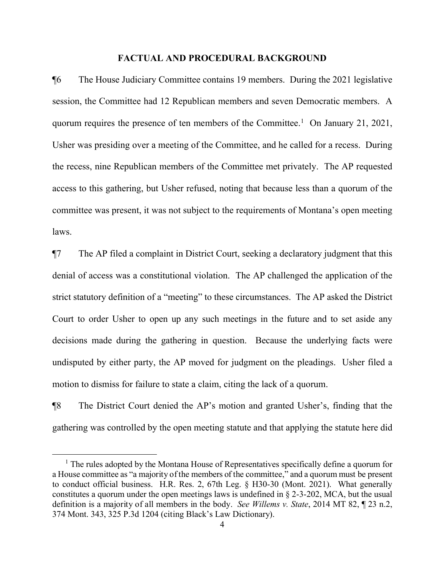### **FACTUAL AND PROCEDURAL BACKGROUND**

¶6 The House Judiciary Committee contains 19 members. During the 2021 legislative session, the Committee had 12 Republican members and seven Democratic members. A quorum requires the presence of ten members of the Committee.<sup>[1](#page-3-0)</sup> On January 21, 2021, Usher was presiding over a meeting of the Committee, and he called for a recess. During the recess, nine Republican members of the Committee met privately. The AP requested access to this gathering, but Usher refused, noting that because less than a quorum of the committee was present, it was not subject to the requirements of Montana's open meeting laws.

¶7 The AP filed a complaint in District Court, seeking a declaratory judgment that this denial of access was a constitutional violation. The AP challenged the application of the strict statutory definition of a "meeting" to these circumstances. The AP asked the District Court to order Usher to open up any such meetings in the future and to set aside any decisions made during the gathering in question. Because the underlying facts were undisputed by either party, the AP moved for judgment on the pleadings. Usher filed a motion to dismiss for failure to state a claim, citing the lack of a quorum.

¶8 The District Court denied the AP's motion and granted Usher's, finding that the gathering was controlled by the open meeting statute and that applying the statute here did

i

<span id="page-3-0"></span><sup>&</sup>lt;sup>1</sup> The rules adopted by the Montana House of Representatives specifically define a quorum for a House committee as "a majority of the members of the committee," and a quorum must be present to conduct official business. H.R. Res. 2, 67th Leg. § H30-30 (Mont. 2021). What generally constitutes a quorum under the open meetings laws is undefined in § 2-3-202, MCA, but the usual definition is a majority of all members in the body. *See Willems v. State*, 2014 MT 82, ¶ 23 n.2, 374 Mont. 343, 325 P.3d 1204 (citing Black's Law Dictionary).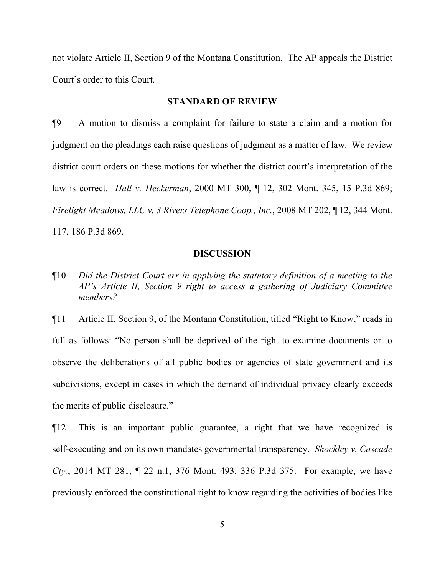not violate Article II, Section 9 of the Montana Constitution. The AP appeals the District Court's order to this Court.

### **STANDARD OF REVIEW**

¶9 A motion to dismiss a complaint for failure to state a claim and a motion for judgment on the pleadings each raise questions of judgment as a matter of law. We review district court orders on these motions for whether the district court's interpretation of the law is correct. *Hall v. Heckerman*, 2000 MT 300, ¶ 12, 302 Mont. 345, 15 P.3d 869; *Firelight Meadows, LLC v. 3 Rivers Telephone Coop., Inc.*, 2008 MT 202, ¶ 12, 344 Mont. 117, 186 P.3d 869.

### **DISCUSSION**

¶10 *Did the District Court err in applying the statutory definition of a meeting to the AP's Article II, Section 9 right to access a gathering of Judiciary Committee members?*

¶11 Article II, Section 9, of the Montana Constitution, titled "Right to Know," reads in full as follows: "No person shall be deprived of the right to examine documents or to observe the deliberations of all public bodies or agencies of state government and its subdivisions, except in cases in which the demand of individual privacy clearly exceeds the merits of public disclosure."

¶12 This is an important public guarantee, a right that we have recognized is self-executing and on its own mandates governmental transparency. *Shockley v. Cascade Cty.*, 2014 MT 281, ¶ 22 n.1, 376 Mont. 493, 336 P.3d 375. For example, we have previously enforced the constitutional right to know regarding the activities of bodies like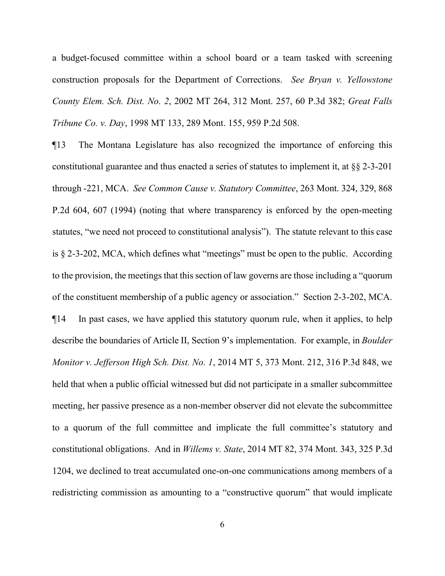a budget-focused committee within a school board or a team tasked with screening construction proposals for the Department of Corrections. *See Bryan v. Yellowstone County Elem. Sch. Dist. No. 2*, 2002 MT 264, 312 Mont. 257, 60 P.3d 382; *Great Falls Tribune Co. v. Day*, 1998 MT 133, 289 Mont. 155, 959 P.2d 508.

¶13 The Montana Legislature has also recognized the importance of enforcing this constitutional guarantee and thus enacted a series of statutes to implement it, at §§ 2-3-201 through -221, MCA. *See Common Cause v. Statutory Committee*, 263 Mont. 324, 329, 868 P.2d 604, 607 (1994) (noting that where transparency is enforced by the open-meeting statutes, "we need not proceed to constitutional analysis"). The statute relevant to this case is § 2-3-202, MCA, which defines what "meetings" must be open to the public. According to the provision, the meetings that this section of law governs are those including a "quorum of the constituent membership of a public agency or association." Section 2-3-202, MCA. ¶14 In past cases, we have applied this statutory quorum rule, when it applies, to help describe the boundaries of Article II, Section 9's implementation. For example, in *Boulder Monitor v. Jefferson High Sch. Dist. No. 1*, 2014 MT 5, 373 Mont. 212, 316 P.3d 848, we held that when a public official witnessed but did not participate in a smaller subcommittee meeting, her passive presence as a non-member observer did not elevate the subcommittee to a quorum of the full committee and implicate the full committee's statutory and constitutional obligations. And in *Willems v. State*, 2014 MT 82, 374 Mont. 343, 325 P.3d 1204, we declined to treat accumulated one-on-one communications among members of a redistricting commission as amounting to a "constructive quorum" that would implicate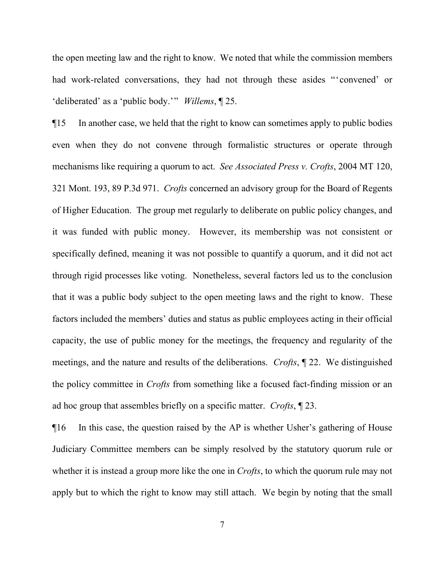the open meeting law and the right to know. We noted that while the commission members had work-related conversations, they had not through these asides "'convened' or 'deliberated' as a 'public body.'" *Willems*, ¶ 25.

¶15 In another case, we held that the right to know can sometimes apply to public bodies even when they do not convene through formalistic structures or operate through mechanisms like requiring a quorum to act. *See Associated Press v. Crofts*, 2004 MT 120, 321 Mont. 193, 89 P.3d 971. *Crofts* concerned an advisory group for the Board of Regents of Higher Education. The group met regularly to deliberate on public policy changes, and it was funded with public money. However, its membership was not consistent or specifically defined, meaning it was not possible to quantify a quorum, and it did not act through rigid processes like voting. Nonetheless, several factors led us to the conclusion that it was a public body subject to the open meeting laws and the right to know. These factors included the members' duties and status as public employees acting in their official capacity, the use of public money for the meetings, the frequency and regularity of the meetings, and the nature and results of the deliberations. *Crofts*, ¶ 22. We distinguished the policy committee in *Crofts* from something like a focused fact-finding mission or an ad hoc group that assembles briefly on a specific matter. *Crofts*, ¶ 23.

¶16 In this case, the question raised by the AP is whether Usher's gathering of House Judiciary Committee members can be simply resolved by the statutory quorum rule or whether it is instead a group more like the one in *Crofts*, to which the quorum rule may not apply but to which the right to know may still attach. We begin by noting that the small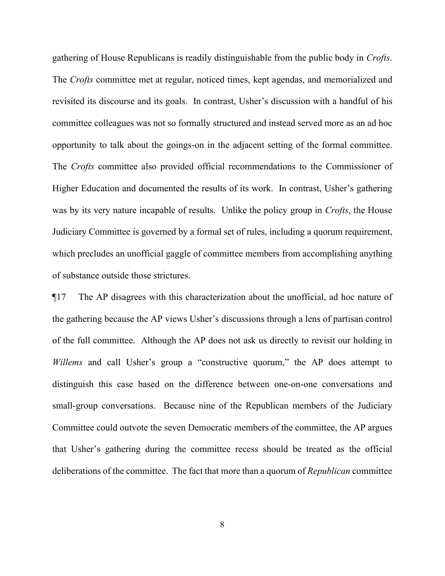gathering of House Republicans is readily distinguishable from the public body in *Crofts*. The *Crofts* committee met at regular, noticed times, kept agendas, and memorialized and revisited its discourse and its goals. In contrast, Usher's discussion with a handful of his committee colleagues was not so formally structured and instead served more as an ad hoc opportunity to talk about the goings-on in the adjacent setting of the formal committee. The *Crofts* committee also provided official recommendations to the Commissioner of Higher Education and documented the results of its work. In contrast, Usher's gathering was by its very nature incapable of results. Unlike the policy group in *Crofts*, the House Judiciary Committee is governed by a formal set of rules, including a quorum requirement, which precludes an unofficial gaggle of committee members from accomplishing anything of substance outside those strictures.

¶17 The AP disagrees with this characterization about the unofficial, ad hoc nature of the gathering because the AP views Usher's discussions through a lens of partisan control of the full committee. Although the AP does not ask us directly to revisit our holding in *Willems* and call Usher's group a "constructive quorum," the AP does attempt to distinguish this case based on the difference between one-on-one conversations and small-group conversations. Because nine of the Republican members of the Judiciary Committee could outvote the seven Democratic members of the committee, the AP argues that Usher's gathering during the committee recess should be treated as the official deliberations of the committee. The fact that more than a quorum of *Republican* committee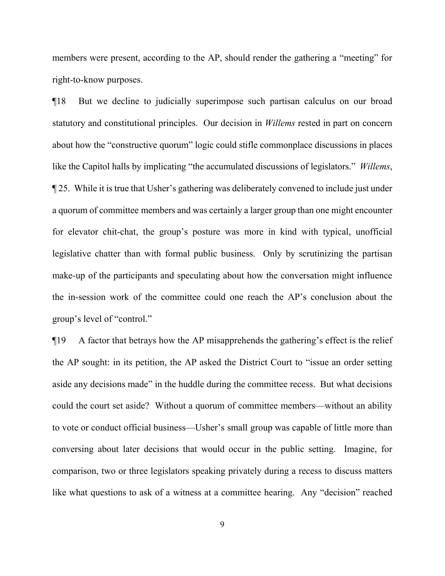members were present, according to the AP, should render the gathering a "meeting" for right-to-know purposes.

¶18 But we decline to judicially superimpose such partisan calculus on our broad statutory and constitutional principles. Our decision in *Willems* rested in part on concern about how the "constructive quorum" logic could stifle commonplace discussions in places like the Capitol halls by implicating "the accumulated discussions of legislators." *Willems*, ¶ 25. While it is true that Usher's gathering was deliberately convened to include just under a quorum of committee members and was certainly a larger group than one might encounter for elevator chit-chat, the group's posture was more in kind with typical, unofficial legislative chatter than with formal public business. Only by scrutinizing the partisan make-up of the participants and speculating about how the conversation might influence the in-session work of the committee could one reach the AP's conclusion about the group's level of "control."

¶19 A factor that betrays how the AP misapprehends the gathering's effect is the relief the AP sought: in its petition, the AP asked the District Court to "issue an order setting aside any decisions made" in the huddle during the committee recess. But what decisions could the court set aside? Without a quorum of committee members—without an ability to vote or conduct official business—Usher's small group was capable of little more than conversing about later decisions that would occur in the public setting. Imagine, for comparison, two or three legislators speaking privately during a recess to discuss matters like what questions to ask of a witness at a committee hearing. Any "decision" reached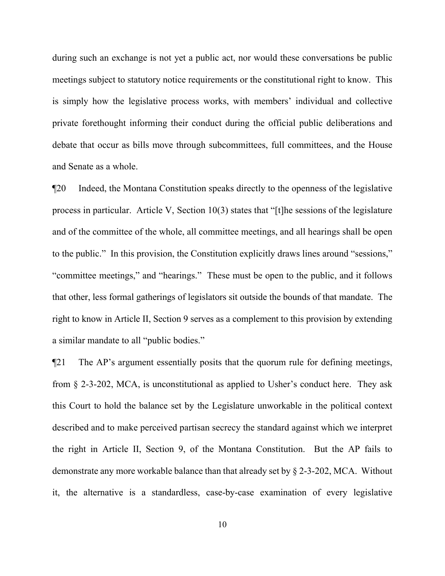during such an exchange is not yet a public act, nor would these conversations be public meetings subject to statutory notice requirements or the constitutional right to know. This is simply how the legislative process works, with members' individual and collective private forethought informing their conduct during the official public deliberations and debate that occur as bills move through subcommittees, full committees, and the House and Senate as a whole.

¶20 Indeed, the Montana Constitution speaks directly to the openness of the legislative process in particular. Article V, Section 10(3) states that "[t]he sessions of the legislature and of the committee of the whole, all committee meetings, and all hearings shall be open to the public." In this provision, the Constitution explicitly draws lines around "sessions," "committee meetings," and "hearings." These must be open to the public, and it follows that other, less formal gatherings of legislators sit outside the bounds of that mandate. The right to know in Article II, Section 9 serves as a complement to this provision by extending a similar mandate to all "public bodies."

¶21 The AP's argument essentially posits that the quorum rule for defining meetings, from § 2-3-202, MCA, is unconstitutional as applied to Usher's conduct here. They ask this Court to hold the balance set by the Legislature unworkable in the political context described and to make perceived partisan secrecy the standard against which we interpret the right in Article II, Section 9, of the Montana Constitution. But the AP fails to demonstrate any more workable balance than that already set by § 2-3-202, MCA. Without it, the alternative is a standardless, case-by-case examination of every legislative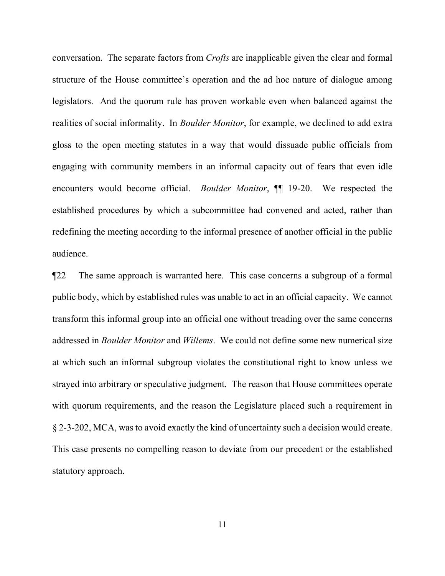conversation. The separate factors from *Crofts* are inapplicable given the clear and formal structure of the House committee's operation and the ad hoc nature of dialogue among legislators. And the quorum rule has proven workable even when balanced against the realities of social informality. In *Boulder Monitor*, for example, we declined to add extra gloss to the open meeting statutes in a way that would dissuade public officials from engaging with community members in an informal capacity out of fears that even idle encounters would become official. *Boulder Monitor*, ¶¶ 19-20. We respected the established procedures by which a subcommittee had convened and acted, rather than redefining the meeting according to the informal presence of another official in the public audience.

¶22 The same approach is warranted here. This case concerns a subgroup of a formal public body, which by established rules was unable to act in an official capacity. We cannot transform this informal group into an official one without treading over the same concerns addressed in *Boulder Monitor* and *Willems*. We could not define some new numerical size at which such an informal subgroup violates the constitutional right to know unless we strayed into arbitrary or speculative judgment. The reason that House committees operate with quorum requirements, and the reason the Legislature placed such a requirement in § 2-3-202, MCA, was to avoid exactly the kind of uncertainty such a decision would create. This case presents no compelling reason to deviate from our precedent or the established statutory approach.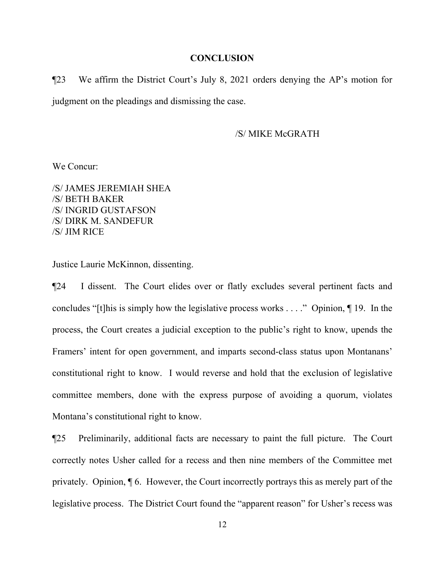#### **CONCLUSION**

¶23 We affirm the District Court's July 8, 2021 orders denying the AP's motion for judgment on the pleadings and dismissing the case.

/S/ MIKE McGRATH

We Concur:

/S/ JAMES JEREMIAH SHEA /S/ BETH BAKER /S/ INGRID GUSTAFSON /S/ DIRK M. SANDEFUR /S/ JIM RICE

Justice Laurie McKinnon, dissenting.

¶24 I dissent. The Court elides over or flatly excludes several pertinent facts and concludes "[t]his is simply how the legislative process works . . . ." Opinion, ¶ 19. In the process, the Court creates a judicial exception to the public's right to know, upends the Framers' intent for open government, and imparts second-class status upon Montanans' constitutional right to know. I would reverse and hold that the exclusion of legislative committee members, done with the express purpose of avoiding a quorum, violates Montana's constitutional right to know.

¶25 Preliminarily, additional facts are necessary to paint the full picture. The Court correctly notes Usher called for a recess and then nine members of the Committee met privately. Opinion, ¶ 6. However, the Court incorrectly portrays this as merely part of the legislative process. The District Court found the "apparent reason" for Usher's recess was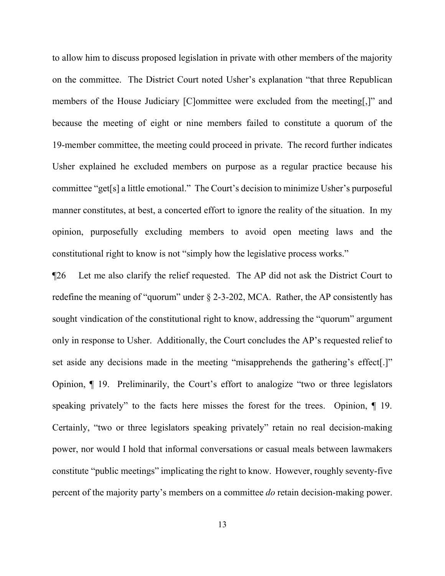to allow him to discuss proposed legislation in private with other members of the majority on the committee. The District Court noted Usher's explanation "that three Republican members of the House Judiciary [C]ommittee were excluded from the meeting[,]" and because the meeting of eight or nine members failed to constitute a quorum of the 19-member committee, the meeting could proceed in private. The record further indicates Usher explained he excluded members on purpose as a regular practice because his committee "get[s] a little emotional." The Court's decision to minimize Usher's purposeful manner constitutes, at best, a concerted effort to ignore the reality of the situation. In my opinion, purposefully excluding members to avoid open meeting laws and the constitutional right to know is not "simply how the legislative process works."

¶26 Let me also clarify the relief requested. The AP did not ask the District Court to redefine the meaning of "quorum" under § 2-3-202, MCA. Rather, the AP consistently has sought vindication of the constitutional right to know, addressing the "quorum" argument only in response to Usher. Additionally, the Court concludes the AP's requested relief to set aside any decisions made in the meeting "misapprehends the gathering's effect[.]" Opinion, ¶ 19. Preliminarily, the Court's effort to analogize "two or three legislators speaking privately" to the facts here misses the forest for the trees. Opinion,  $\P$  19. Certainly, "two or three legislators speaking privately" retain no real decision-making power, nor would I hold that informal conversations or casual meals between lawmakers constitute "public meetings" implicating the right to know. However, roughly seventy-five percent of the majority party's members on a committee *do* retain decision-making power.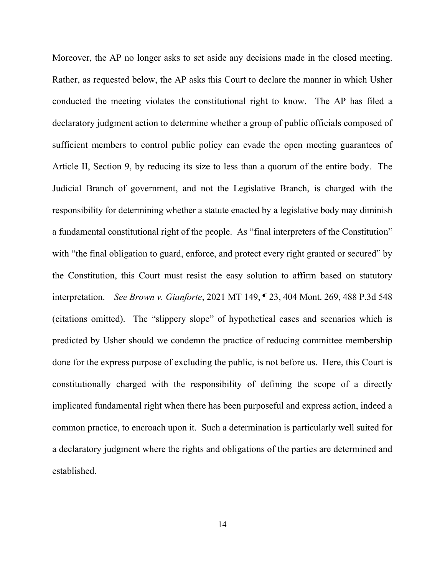Moreover, the AP no longer asks to set aside any decisions made in the closed meeting. Rather, as requested below, the AP asks this Court to declare the manner in which Usher conducted the meeting violates the constitutional right to know. The AP has filed a declaratory judgment action to determine whether a group of public officials composed of sufficient members to control public policy can evade the open meeting guarantees of Article II, Section 9, by reducing its size to less than a quorum of the entire body. The Judicial Branch of government, and not the Legislative Branch, is charged with the responsibility for determining whether a statute enacted by a legislative body may diminish a fundamental constitutional right of the people. As "final interpreters of the Constitution" with "the final obligation to guard, enforce, and protect every right granted or secured" by the Constitution, this Court must resist the easy solution to affirm based on statutory interpretation. *See Brown v. Gianforte*, 2021 MT 149, ¶ 23, 404 Mont. 269, 488 P.3d 548 (citations omitted). The "slippery slope" of hypothetical cases and scenarios which is predicted by Usher should we condemn the practice of reducing committee membership done for the express purpose of excluding the public, is not before us. Here, this Court is constitutionally charged with the responsibility of defining the scope of a directly implicated fundamental right when there has been purposeful and express action, indeed a common practice, to encroach upon it. Such a determination is particularly well suited for a declaratory judgment where the rights and obligations of the parties are determined and established.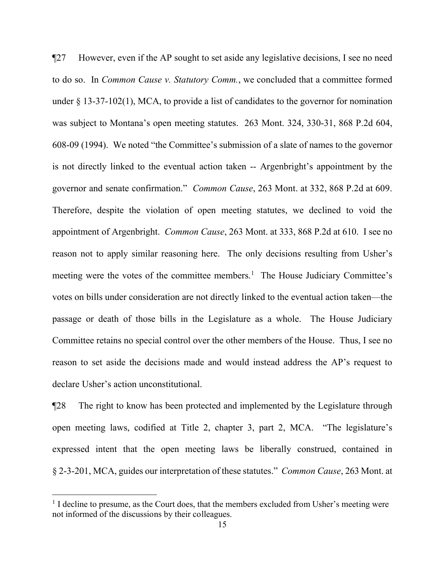¶27 However, even if the AP sought to set aside any legislative decisions, I see no need to do so. In *Common Cause v. Statutory Comm.*, we concluded that a committee formed under § 13-37-102(1), MCA, to provide a list of candidates to the governor for nomination was subject to Montana's open meeting statutes. 263 Mont. 324, 330-31, 868 P.2d 604, 608-09 (1994). We noted "the Committee's submission of a slate of names to the governor is not directly linked to the eventual action taken -- Argenbright's appointment by the governor and senate confirmation." *Common Cause*, 263 Mont. at 332, 868 P.2d at 609. Therefore, despite the violation of open meeting statutes, we declined to void the appointment of Argenbright. *Common Cause*, 263 Mont. at 333, 868 P.2d at 610. I see no reason not to apply similar reasoning here. The only decisions resulting from Usher's meeting were the votes of the committee members.<sup>[1](#page-14-0)</sup> The House Judiciary Committee's votes on bills under consideration are not directly linked to the eventual action taken—the passage or death of those bills in the Legislature as a whole. The House Judiciary Committee retains no special control over the other members of the House. Thus, I see no reason to set aside the decisions made and would instead address the AP's request to declare Usher's action unconstitutional.

¶28 The right to know has been protected and implemented by the Legislature through open meeting laws, codified at Title 2, chapter 3, part 2, MCA. "The legislature's expressed intent that the open meeting laws be liberally construed, contained in § 2-3-201, MCA, guides our interpretation of these statutes." *Common Cause*, 263 Mont. at

i

<span id="page-14-0"></span><sup>&</sup>lt;sup>1</sup> I decline to presume, as the Court does, that the members excluded from Usher's meeting were not informed of the discussions by their colleagues.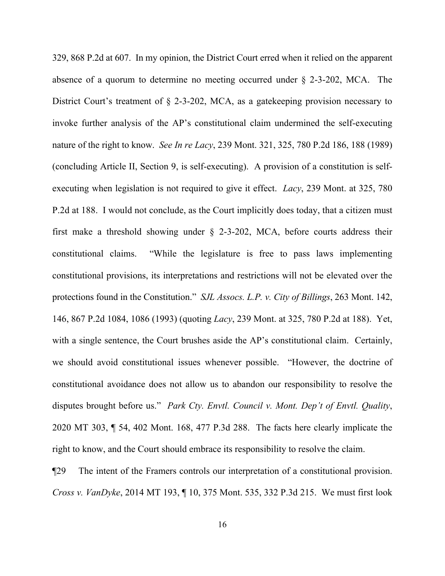329, 868 P.2d at 607. In my opinion, the District Court erred when it relied on the apparent absence of a quorum to determine no meeting occurred under § 2-3-202, MCA. The District Court's treatment of § 2-3-202, MCA, as a gatekeeping provision necessary to invoke further analysis of the AP's constitutional claim undermined the self-executing nature of the right to know. *See In re Lacy*, 239 Mont. 321, 325, 780 P.2d 186, 188 (1989) (concluding Article II, Section 9, is self-executing). A provision of a constitution is selfexecuting when legislation is not required to give it effect. *Lacy*, 239 Mont. at 325, 780 P.2d at 188. I would not conclude, as the Court implicitly does today, that a citizen must first make a threshold showing under  $\S$  2-3-202, MCA, before courts address their constitutional claims. "While the legislature is free to pass laws implementing constitutional provisions, its interpretations and restrictions will not be elevated over the protections found in the Constitution." *SJL Assocs. L.P. v. City of Billings*, 263 Mont. 142, 146, 867 P.2d 1084, 1086 (1993) (quoting *Lacy*, 239 Mont. at 325, 780 P.2d at 188). Yet, with a single sentence, the Court brushes aside the AP's constitutional claim. Certainly, we should avoid constitutional issues whenever possible. "However, the doctrine of constitutional avoidance does not allow us to abandon our responsibility to resolve the disputes brought before us." *Park Cty. Envtl. Council v. Mont. Dep't of Envtl. Quality*, 2020 MT 303, ¶ 54, 402 Mont. 168, 477 P.3d 288. The facts here clearly implicate the right to know, and the Court should embrace its responsibility to resolve the claim.

¶29 The intent of the Framers controls our interpretation of a constitutional provision. *Cross v. VanDyke*, 2014 MT 193, ¶ 10, 375 Mont. 535, 332 P.3d 215. We must first look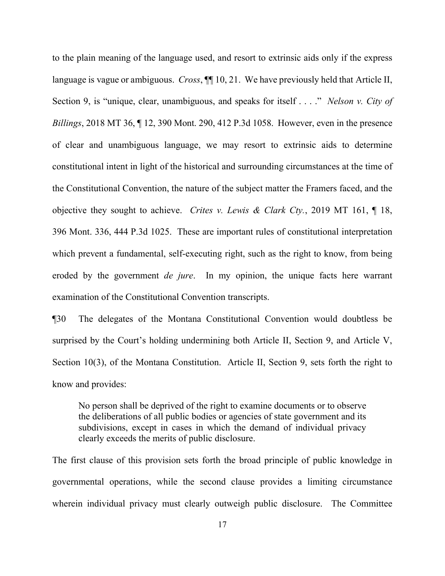to the plain meaning of the language used, and resort to extrinsic aids only if the express language is vague or ambiguous. *Cross*, ¶¶ 10, 21. We have previously held that Article II, Section 9, is "unique, clear, unambiguous, and speaks for itself . . . ." *Nelson v. City of Billings*, 2018 MT 36, ¶ 12, 390 Mont. 290, 412 P.3d 1058. However, even in the presence of clear and unambiguous language, we may resort to extrinsic aids to determine constitutional intent in light of the historical and surrounding circumstances at the time of the Constitutional Convention, the nature of the subject matter the Framers faced, and the objective they sought to achieve. *Crites v. Lewis & Clark Cty.*, 2019 MT 161, ¶ 18, 396 Mont. 336, 444 P.3d 1025. These are important rules of constitutional interpretation which prevent a fundamental, self-executing right, such as the right to know, from being eroded by the government *de jure*. In my opinion, the unique facts here warrant examination of the Constitutional Convention transcripts.

¶30 The delegates of the Montana Constitutional Convention would doubtless be surprised by the Court's holding undermining both Article II, Section 9, and Article V, Section 10(3), of the Montana Constitution. Article II, Section 9, sets forth the right to know and provides:

No person shall be deprived of the right to examine documents or to observe the deliberations of all public bodies or agencies of state government and its subdivisions, except in cases in which the demand of individual privacy clearly exceeds the merits of public disclosure.

The first clause of this provision sets forth the broad principle of public knowledge in governmental operations, while the second clause provides a limiting circumstance wherein individual privacy must clearly outweigh public disclosure. The Committee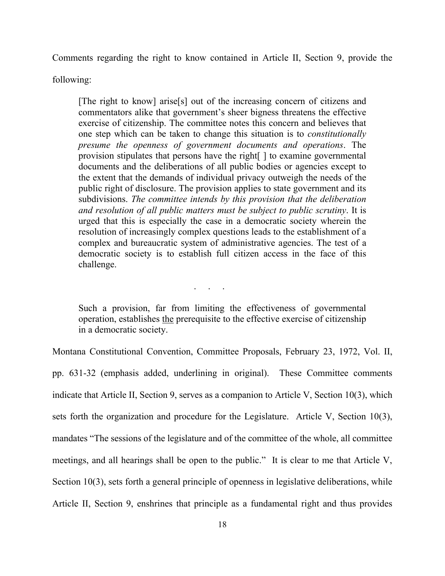Comments regarding the right to know contained in Article II, Section 9, provide the

following:

[The right to know] arise[s] out of the increasing concern of citizens and commentators alike that government's sheer bigness threatens the effective exercise of citizenship. The committee notes this concern and believes that one step which can be taken to change this situation is to *constitutionally presume the openness of government documents and operations*. The provision stipulates that persons have the right[ ] to examine governmental documents and the deliberations of all public bodies or agencies except to the extent that the demands of individual privacy outweigh the needs of the public right of disclosure. The provision applies to state government and its subdivisions. *The committee intends by this provision that the deliberation and resolution of all public matters must be subject to public scrutiny*. It is urged that this is especially the case in a democratic society wherein the resolution of increasingly complex questions leads to the establishment of a complex and bureaucratic system of administrative agencies. The test of a democratic society is to establish full citizen access in the face of this challenge.

Such a provision, far from limiting the effectiveness of governmental operation, establishes the prerequisite to the effective exercise of citizenship in a democratic society.

. . .

Montana Constitutional Convention, Committee Proposals, February 23, 1972, Vol. II,

pp. 631-32 (emphasis added, underlining in original). These Committee comments indicate that Article II, Section 9, serves as a companion to Article V, Section 10(3), which sets forth the organization and procedure for the Legislature. Article V, Section 10(3), mandates "The sessions of the legislature and of the committee of the whole, all committee meetings, and all hearings shall be open to the public." It is clear to me that Article V, Section 10(3), sets forth a general principle of openness in legislative deliberations, while Article II, Section 9, enshrines that principle as a fundamental right and thus provides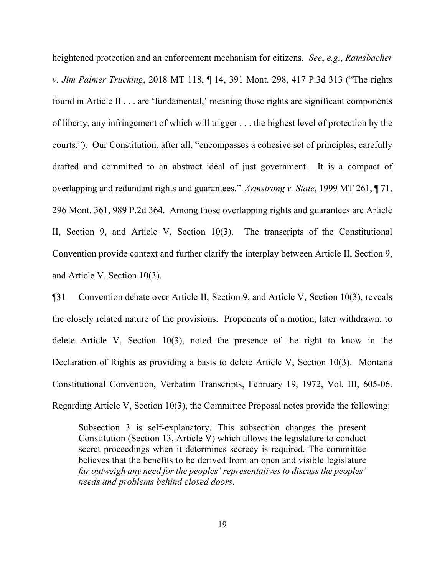heightened protection and an enforcement mechanism for citizens. *See*, *e.g.*, *Ramsbacher v. Jim Palmer Trucking*, 2018 MT 118, ¶ 14, 391 Mont. 298, 417 P.3d 313 ("The rights found in Article II . . . are 'fundamental,' meaning those rights are significant components of liberty, any infringement of which will trigger . . . the highest level of protection by the courts."). Our Constitution, after all, "encompasses a cohesive set of principles, carefully drafted and committed to an abstract ideal of just government. It is a compact of overlapping and redundant rights and guarantees." *Armstrong v. State*, 1999 MT 261, ¶ 71, 296 Mont. 361, 989 P.2d 364. Among those overlapping rights and guarantees are Article II, Section 9, and Article V, Section 10(3). The transcripts of the Constitutional Convention provide context and further clarify the interplay between Article II, Section 9, and Article V, Section 10(3).

¶31 Convention debate over Article II, Section 9, and Article V, Section 10(3), reveals the closely related nature of the provisions. Proponents of a motion, later withdrawn, to delete Article V, Section 10(3), noted the presence of the right to know in the Declaration of Rights as providing a basis to delete Article V, Section 10(3). Montana Constitutional Convention, Verbatim Transcripts, February 19, 1972, Vol. III, 605-06. Regarding Article V, Section 10(3), the Committee Proposal notes provide the following:

Subsection 3 is self-explanatory. This subsection changes the present Constitution (Section 13, Article V) which allows the legislature to conduct secret proceedings when it determines secrecy is required. The committee believes that the benefits to be derived from an open and visible legislature *far outweigh any need for the peoples' representatives to discuss the peoples' needs and problems behind closed doors*.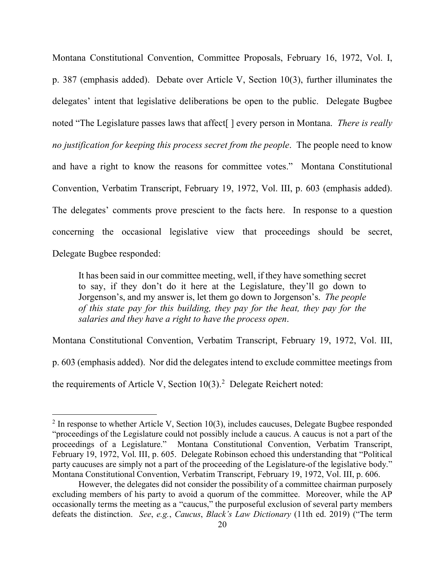Montana Constitutional Convention, Committee Proposals, February 16, 1972, Vol. I, p. 387 (emphasis added). Debate over Article V, Section 10(3), further illuminates the delegates' intent that legislative deliberations be open to the public. Delegate Bugbee noted "The Legislature passes laws that affect[ ] every person in Montana. *There is really no justification for keeping this process secret from the people*. The people need to know and have a right to know the reasons for committee votes." Montana Constitutional Convention, Verbatim Transcript, February 19, 1972, Vol. III, p. 603 (emphasis added). The delegates' comments prove prescient to the facts here. In response to a question concerning the occasional legislative view that proceedings should be secret, Delegate Bugbee responded:

It has been said in our committee meeting, well, if they have something secret to say, if they don't do it here at the Legislature, they'll go down to Jorgenson's, and my answer is, let them go down to Jorgenson's. *The people of this state pay for this building, they pay for the heat, they pay for the salaries and they have a right to have the process open*.

Montana Constitutional Convention, Verbatim Transcript, February 19, 1972, Vol. III,

p. 603 (emphasis added). Nor did the delegates intend to exclude committee meetings from

the requirements of Article V, Section  $10(3)$ .<sup>[2](#page-19-0)</sup> Delegate Reichert noted:

i<br>Li

<span id="page-19-0"></span> $2$  In response to whether Article V, Section 10(3), includes caucuses, Delegate Bugbee responded "proceedings of the Legislature could not possibly include a caucus. A caucus is not a part of the proceedings of a Legislature." Montana Constitutional Convention, Verbatim Transcript, February 19, 1972, Vol. III, p. 605. Delegate Robinson echoed this understanding that "Political party caucuses are simply not a part of the proceeding of the Legislature-of the legislative body." Montana Constitutional Convention, Verbatim Transcript, February 19, 1972, Vol. III, p. 606.

However, the delegates did not consider the possibility of a committee chairman purposely excluding members of his party to avoid a quorum of the committee. Moreover, while the AP occasionally terms the meeting as a "caucus," the purposeful exclusion of several party members defeats the distinction. *See*, *e.g.*, *Caucus*, *Black's Law Dictionary* (11th ed. 2019) ("The term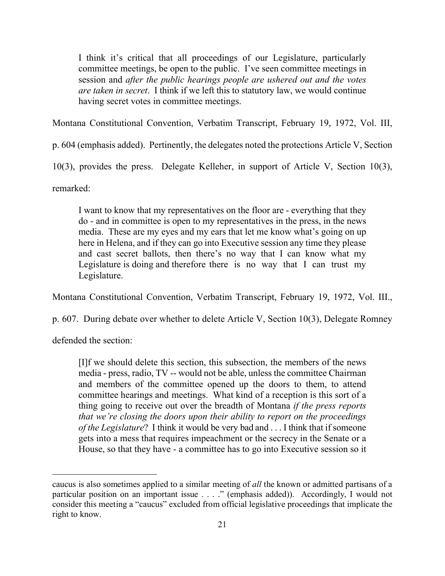I think it's critical that all proceedings of our Legislature, particularly committee meetings, be open to the public. I've seen committee meetings in session and *after the public hearings people are ushered out and the votes are taken in secret*. I think if we left this to statutory law, we would continue having secret votes in committee meetings.

Montana Constitutional Convention, Verbatim Transcript, February 19, 1972, Vol. III,

p. 604 (emphasis added). Pertinently, the delegates noted the protections Article V, Section

10(3), provides the press. Delegate Kelleher, in support of Article V, Section 10(3),

remarked:

I want to know that my representatives on the floor are - everything that they do - and in committee is open to my representatives in the press, in the news media. These are my eyes and my ears that let me know what's going on up here in Helena, and if they can go into Executive session any time they please and cast secret ballots, then there's no way that I can know what my Legislature is doing and therefore there is no way that I can trust my Legislature.

Montana Constitutional Convention, Verbatim Transcript, February 19, 1972, Vol. III.,

p. 607. During debate over whether to delete Article V, Section 10(3), Delegate Romney

defended the section:

i<br>Li

[I]f we should delete this section, this subsection, the members of the news media - press, radio, TV -- would not be able, unless the committee Chairman and members of the committee opened up the doors to them, to attend committee hearings and meetings. What kind of a reception is this sort of a thing going to receive out over the breadth of Montana *if the press reports that we're closing the doors upon their ability to report on the proceedings of the Legislature*? I think it would be very bad and . . . I think that if someone gets into a mess that requires impeachment or the secrecy in the Senate or a House, so that they have - a committee has to go into Executive session so it

caucus is also sometimes applied to a similar meeting of *all* the known or admitted partisans of a particular position on an important issue . . . ." (emphasis added)). Accordingly, I would not consider this meeting a "caucus" excluded from official legislative proceedings that implicate the right to know.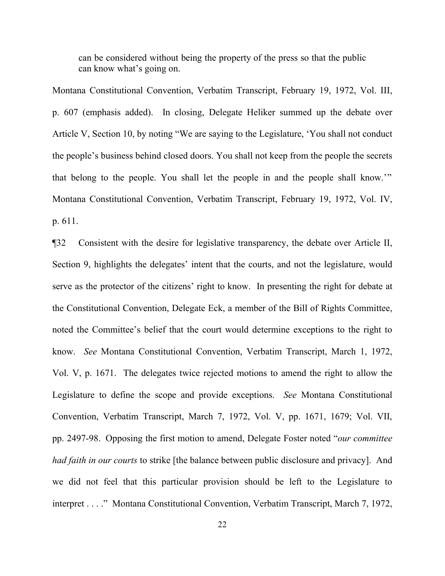can be considered without being the property of the press so that the public can know what's going on.

Montana Constitutional Convention, Verbatim Transcript, February 19, 1972, Vol. III, p. 607 (emphasis added). In closing, Delegate Heliker summed up the debate over Article V, Section 10, by noting "We are saying to the Legislature, 'You shall not conduct the people's business behind closed doors. You shall not keep from the people the secrets that belong to the people. You shall let the people in and the people shall know.'" Montana Constitutional Convention, Verbatim Transcript, February 19, 1972, Vol. IV, p. 611.

¶32 Consistent with the desire for legislative transparency, the debate over Article II, Section 9, highlights the delegates' intent that the courts, and not the legislature, would serve as the protector of the citizens' right to know. In presenting the right for debate at the Constitutional Convention, Delegate Eck, a member of the Bill of Rights Committee, noted the Committee's belief that the court would determine exceptions to the right to know. *See* Montana Constitutional Convention, Verbatim Transcript, March 1, 1972, Vol. V, p. 1671. The delegates twice rejected motions to amend the right to allow the Legislature to define the scope and provide exceptions. *See* Montana Constitutional Convention, Verbatim Transcript, March 7, 1972, Vol. V, pp. 1671, 1679; Vol. VII, pp. 2497-98. Opposing the first motion to amend, Delegate Foster noted "*our committee had faith in our courts* to strike [the balance between public disclosure and privacy]. And we did not feel that this particular provision should be left to the Legislature to interpret . . . ." Montana Constitutional Convention, Verbatim Transcript, March 7, 1972,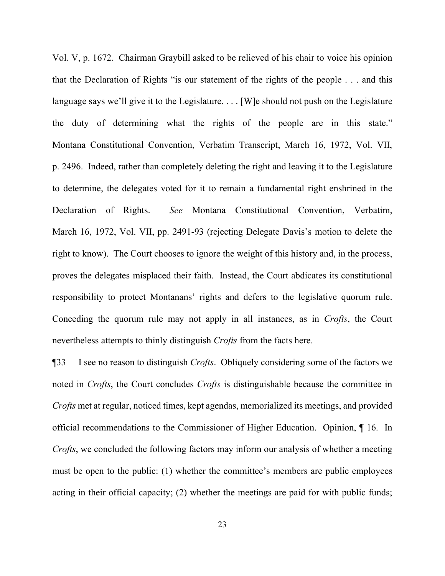Vol. V, p. 1672. Chairman Graybill asked to be relieved of his chair to voice his opinion that the Declaration of Rights "is our statement of the rights of the people . . . and this language says we'll give it to the Legislature. . . . [W] e should not push on the Legislature the duty of determining what the rights of the people are in this state." Montana Constitutional Convention, Verbatim Transcript, March 16, 1972, Vol. VII, p. 2496. Indeed, rather than completely deleting the right and leaving it to the Legislature to determine, the delegates voted for it to remain a fundamental right enshrined in the Declaration of Rights. *See* Montana Constitutional Convention, Verbatim, March 16, 1972, Vol. VII, pp. 2491-93 (rejecting Delegate Davis's motion to delete the right to know). The Court chooses to ignore the weight of this history and, in the process, proves the delegates misplaced their faith. Instead, the Court abdicates its constitutional responsibility to protect Montanans' rights and defers to the legislative quorum rule. Conceding the quorum rule may not apply in all instances, as in *Crofts*, the Court nevertheless attempts to thinly distinguish *Crofts* from the facts here.

¶33 I see no reason to distinguish *Crofts*. Obliquely considering some of the factors we noted in *Crofts*, the Court concludes *Crofts* is distinguishable because the committee in *Crofts* met at regular, noticed times, kept agendas, memorialized its meetings, and provided official recommendations to the Commissioner of Higher Education. Opinion, ¶ 16. In *Crofts*, we concluded the following factors may inform our analysis of whether a meeting must be open to the public: (1) whether the committee's members are public employees acting in their official capacity; (2) whether the meetings are paid for with public funds;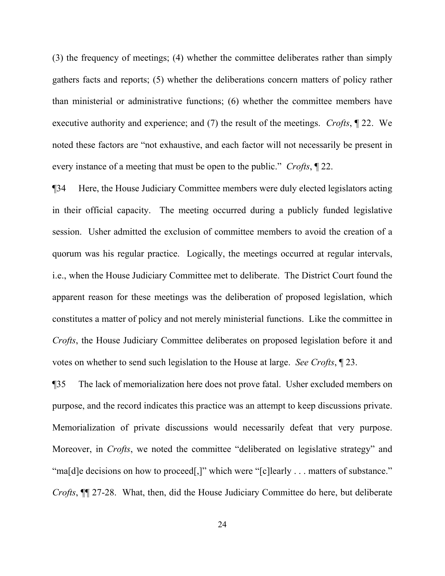(3) the frequency of meetings; (4) whether the committee deliberates rather than simply gathers facts and reports; (5) whether the deliberations concern matters of policy rather than ministerial or administrative functions; (6) whether the committee members have executive authority and experience; and (7) the result of the meetings. *Crofts*, ¶ 22. We noted these factors are "not exhaustive, and each factor will not necessarily be present in every instance of a meeting that must be open to the public." *Crofts*, ¶ 22.

¶34 Here, the House Judiciary Committee members were duly elected legislators acting in their official capacity. The meeting occurred during a publicly funded legislative session. Usher admitted the exclusion of committee members to avoid the creation of a quorum was his regular practice. Logically, the meetings occurred at regular intervals, i.e., when the House Judiciary Committee met to deliberate. The District Court found the apparent reason for these meetings was the deliberation of proposed legislation, which constitutes a matter of policy and not merely ministerial functions. Like the committee in *Crofts*, the House Judiciary Committee deliberates on proposed legislation before it and votes on whether to send such legislation to the House at large. *See Crofts*, ¶ 23.

¶35 The lack of memorialization here does not prove fatal. Usher excluded members on purpose, and the record indicates this practice was an attempt to keep discussions private. Memorialization of private discussions would necessarily defeat that very purpose. Moreover, in *Crofts*, we noted the committee "deliberated on legislative strategy" and "ma[d]e decisions on how to proceed[,]" which were "[c]learly . . . matters of substance." *Crofts*, ¶¶ 27-28. What, then, did the House Judiciary Committee do here, but deliberate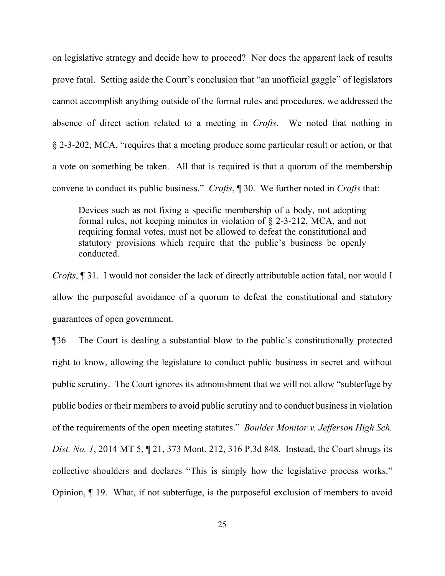on legislative strategy and decide how to proceed? Nor does the apparent lack of results prove fatal. Setting aside the Court's conclusion that "an unofficial gaggle" of legislators cannot accomplish anything outside of the formal rules and procedures, we addressed the absence of direct action related to a meeting in *Crofts*. We noted that nothing in § 2-3-202, MCA, "requires that a meeting produce some particular result or action, or that a vote on something be taken. All that is required is that a quorum of the membership convene to conduct its public business." *Crofts*, ¶ 30. We further noted in *Crofts* that:

Devices such as not fixing a specific membership of a body, not adopting formal rules, not keeping minutes in violation of § 2-3-212, MCA, and not requiring formal votes, must not be allowed to defeat the constitutional and statutory provisions which require that the public's business be openly conducted.

*Crofts*, ¶ 31. I would not consider the lack of directly attributable action fatal, nor would I allow the purposeful avoidance of a quorum to defeat the constitutional and statutory guarantees of open government.

¶36 The Court is dealing a substantial blow to the public's constitutionally protected right to know, allowing the legislature to conduct public business in secret and without public scrutiny. The Court ignores its admonishment that we will not allow "subterfuge by public bodies or their members to avoid public scrutiny and to conduct business in violation of the requirements of the open meeting statutes." *Boulder Monitor v. Jefferson High Sch. Dist. No. 1*, 2014 MT 5, ¶ 21, 373 Mont. 212, 316 P.3d 848. Instead, the Court shrugs its collective shoulders and declares "This is simply how the legislative process works." Opinion, ¶ 19. What, if not subterfuge, is the purposeful exclusion of members to avoid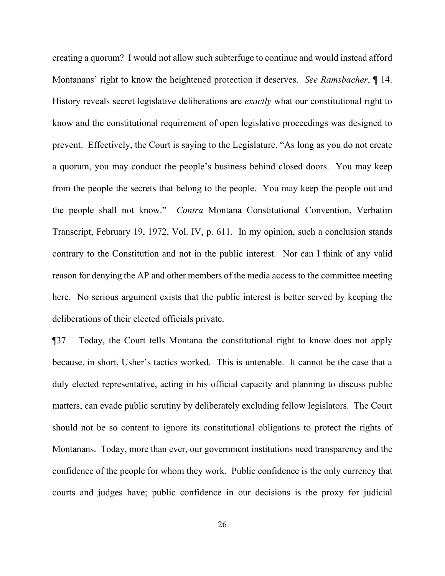creating a quorum? I would not allow such subterfuge to continue and would instead afford Montanans' right to know the heightened protection it deserves. *See Ramsbacher*, ¶ 14. History reveals secret legislative deliberations are *exactly* what our constitutional right to know and the constitutional requirement of open legislative proceedings was designed to prevent. Effectively, the Court is saying to the Legislature, "As long as you do not create a quorum, you may conduct the people's business behind closed doors. You may keep from the people the secrets that belong to the people. You may keep the people out and the people shall not know." *Contra* Montana Constitutional Convention, Verbatim Transcript, February 19, 1972, Vol. IV, p. 611. In my opinion, such a conclusion stands contrary to the Constitution and not in the public interest. Nor can I think of any valid reason for denying the AP and other members of the media access to the committee meeting here. No serious argument exists that the public interest is better served by keeping the deliberations of their elected officials private.

¶37 Today, the Court tells Montana the constitutional right to know does not apply because, in short, Usher's tactics worked. This is untenable. It cannot be the case that a duly elected representative, acting in his official capacity and planning to discuss public matters, can evade public scrutiny by deliberately excluding fellow legislators. The Court should not be so content to ignore its constitutional obligations to protect the rights of Montanans. Today, more than ever, our government institutions need transparency and the confidence of the people for whom they work. Public confidence is the only currency that courts and judges have; public confidence in our decisions is the proxy for judicial